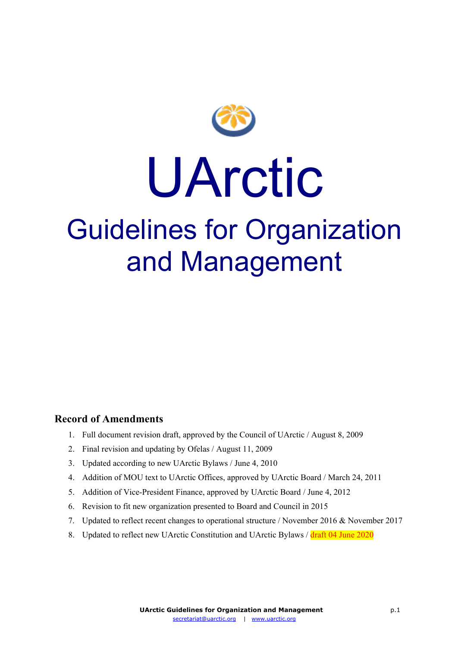

# UArctic

# Guidelines for Organization and Management

#### **Record of Amendments**

- 1. Full document revision draft, approved by the Council of UArctic / August 8, 2009
- 2. Final revision and updating by Ofelas / August 11, 2009
- 3. Updated according to new UArctic Bylaws / June 4, 2010
- 4. Addition of MOU text to UArctic Offices, approved by UArctic Board / March 24, 2011
- 5. Addition of Vice-President Finance, approved by UArctic Board / June 4, 2012
- 6. Revision to fit new organization presented to Board and Council in 2015
- 7. Updated to reflect recent changes to operational structure / November 2016 & November 2017
- 8. Updated to reflect new UArctic Constitution and UArctic Bylaws / draft 04 June 2020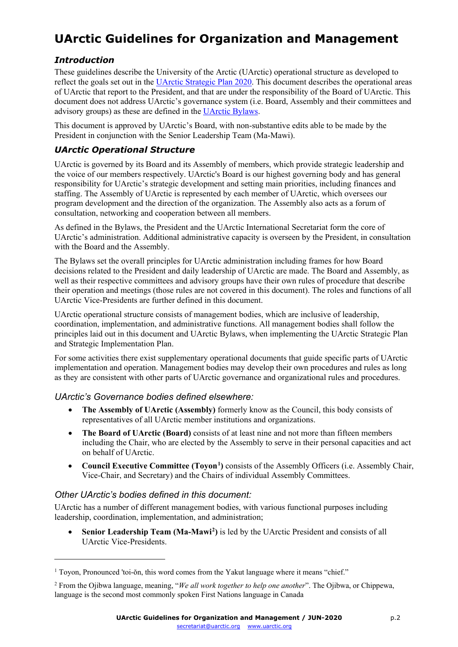# **UArctic Guidelines for Organization and Management**

#### *Introduction*

These guidelines describe the University of the Arctic (UArctic) operational structure as developed to reflect the goals set out in the [UArctic Strategic Plan 2020.](http://www.uarctic.org/media/360332/UArctic_Strategic_Plan_FINAL_screen.pdf) This document describes the operational areas of UArctic that report to the President, and that are under the responsibility of the Board of UArctic. This document does not address UArctic's governance system (i.e. Board, Assembly and their committees and advisory groups) as these are defined in the [UArctic Bylaws.](https://www.uarctic.org/media/1600387/uarctic-bylaws-2020.pdf)

This document is approved by UArctic's Board, with non-substantive edits able to be made by the President in conjunction with the Senior Leadership Team (Ma-Mawi).

#### *UArctic Operational Structure*

UArctic is governed by its Board and its Assembly of members, which provide strategic leadership and the voice of our members respectively. UArctic's Board is our highest governing body and has general responsibility for UArctic's strategic development and setting main priorities, including finances and staffing. The Assembly of UArctic is represented by each member of UArctic, which oversees our program development and the direction of the organization. The Assembly also acts as a forum of consultation, networking and cooperation between all members.

As defined in the Bylaws, the President and the UArctic International Secretariat form the core of UArctic's administration. Additional administrative capacity is overseen by the President, in consultation with the Board and the Assembly.

The Bylaws set the overall principles for UArctic administration including frames for how Board decisions related to the President and daily leadership of UArctic are made. The Board and Assembly, as well as their respective committees and advisory groups have their own rules of procedure that describe their operation and meetings (those rules are not covered in this document). The roles and functions of all UArctic Vice-Presidents are further defined in this document.

UArctic operational structure consists of management bodies, which are inclusive of leadership, coordination, implementation, and administrative functions. All management bodies shall follow the principles laid out in this document and UArctic Bylaws, when implementing the UArctic Strategic Plan and Strategic Implementation Plan.

For some activities there exist supplementary operational documents that guide specific parts of UArctic implementation and operation. Management bodies may develop their own procedures and rules as long as they are consistent with other parts of UArctic governance and organizational rules and procedures.

#### *UArctic's Governance bodies defined elsewhere:*

- **The Assembly of UArctic (Assembly)** formerly know as the Council, this body consists of representatives of all UArctic member institutions and organizations.
- **The Board of UArctic (Board)** consists of at least nine and not more than fifteen members including the Chair, who are elected by the Assembly to serve in their personal capacities and act on behalf of UArctic.
- **Council Executive Committee (Toyon[1](#page-1-0) )** consists of the Assembly Officers (i.e. Assembly Chair, Vice-Chair, and Secretary) and the Chairs of individual Assembly Committees.

#### *Other UArctic's bodies defined in this document:*

<u>.</u>

UArctic has a number of different management bodies, with various functional purposes including leadership, coordination, implementation, and administration;

• **Senior Leadership Team (Ma-Mawi[2](#page-1-1) )** is led by the UArctic President and consists of all UArctic Vice-Presidents.

<span id="page-1-0"></span><sup>1</sup> Toyon, Pronounced 'toi-ŏn, this word comes from the Yakut language where it means "chief."

<span id="page-1-1"></span><sup>2</sup> From the Ojibwa language, meaning, "*We all work together to help one another*". The Ojibwa, or Chippewa, language is the second most commonly spoken First Nations language in Canada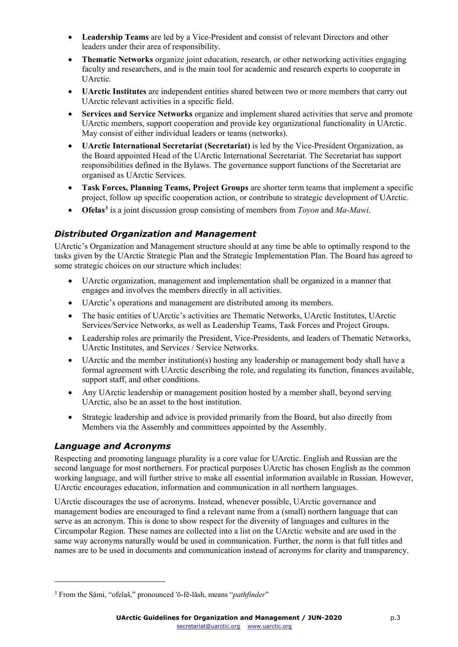- **Leadership Teams** are led by a Vice-President and consist of relevant Directors and other leaders under their area of responsibility.
- **Thematic Networks** organize joint education, research, or other networking activities engaging faculty and researchers, and is the main tool for academic and research experts to cooperate in UArctic.
- **UArctic Institutes** are independent entities shared between two or more members that carry out UArctic relevant activities in a specific field.
- **Services and Service Networks** organize and implement shared activities that serve and promote UArctic members, support cooperation and provide key organizational functionality in UArctic. May consist of either individual leaders or teams (networks).
- **UArctic International Secretariat (Secretariat)** is led by the Vice-President Organization, as the Board appointed Head of the UArctic International Secretariat. The Secretariat has support responsibilities defined in the Bylaws. The governance support functions of the Secretariat are organised as UArctic Services.
- **Task Forces, Planning Teams, Project Groups** are shorter term teams that implement a specific project, follow up specific cooperation action, or contribute to strategic development of UArctic.
- **Ofelas[3](#page-2-0)** is a joint discussion group consisting of members from *Toyon* and *Ma-Mawi*.

#### *Distributed Organization and Management*

UArctic's Organization and Management structure should at any time be able to optimally respond to the tasks given by the UArctic Strategic Plan and the Strategic Implementation Plan. The Board has agreed to some strategic choices on our structure which includes:

- UArctic organization, management and implementation shall be organized in a manner that engages and involves the members directly in all activities.
- UArctic's operations and management are distributed among its members.
- The basic entities of UArctic's activities are Thematic Networks, UArctic Institutes, UArctic Services/Service Networks, as well as Leadership Teams, Task Forces and Project Groups.
- Leadership roles are primarily the President, Vice-Presidents, and leaders of Thematic Networks, UArctic Institutes, and Services / Service Networks.
- UArctic and the member institution(s) hosting any leadership or management body shall have a formal agreement with UArctic describing the role, and regulating its function, finances available, support staff, and other conditions.
- Any UArctic leadership or management position hosted by a member shall, beyond serving UArctic, also be an asset to the host institution.
- Strategic leadership and advice is provided primarily from the Board, but also directly from Members via the Assembly and committees appointed by the Assembly.

#### *Language and Acronyms*

<u>.</u>

Respecting and promoting language plurality is a core value for UArctic. English and Russian are the second language for most northerners. For practical purposes UArctic has chosen English as the common working language, and will further strive to make all essential information available in Russian. However, UArctic encourages education, information and communication in all northern languages.

UArctic discourages the use of acronyms. Instead, whenever possible, UArctic governance and management bodies are encouraged to find a relevant name from a (small) northern language that can serve as an acronym. This is done to show respect for the diversity of languages and cultures in the Circumpolar Region. These names are collected into a list on the UArctic website and are used in the same way acronyms naturally would be used in communication. Further, the norm is that full titles and names are to be used in documents and communication instead of acronyms for clarity and transparency.

<span id="page-2-0"></span><sup>3</sup> From the Sámi, "ofelaš," pronounced 'ō-fě-lăsh, means "*pathfinder*"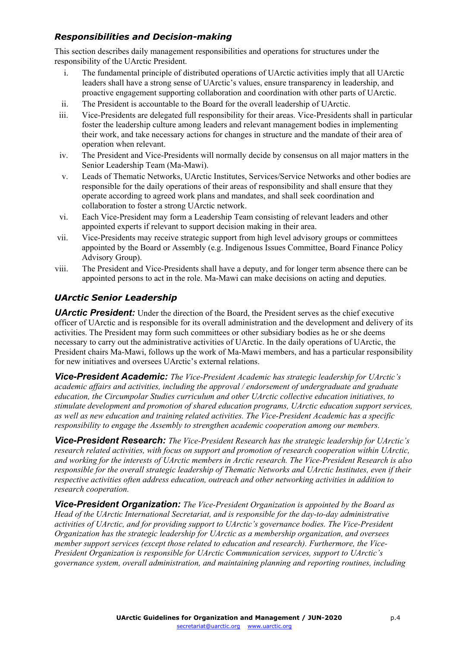#### *Responsibilities and Decision-making*

This section describes daily management responsibilities and operations for structures under the responsibility of the UArctic President.

- i. The fundamental principle of distributed operations of UArctic activities imply that all UArctic leaders shall have a strong sense of UArctic's values, ensure transparency in leadership, and proactive engagement supporting collaboration and coordination with other parts of UArctic.
- ii. The President is accountable to the Board for the overall leadership of UArctic.
- iii. Vice-Presidents are delegated full responsibility for their areas. Vice-Presidents shall in particular foster the leadership culture among leaders and relevant management bodies in implementing their work, and take necessary actions for changes in structure and the mandate of their area of operation when relevant.
- iv. The President and Vice-Presidents will normally decide by consensus on all major matters in the Senior Leadership Team (Ma-Mawi).
- v. Leads of Thematic Networks, UArctic Institutes, Services/Service Networks and other bodies are responsible for the daily operations of their areas of responsibility and shall ensure that they operate according to agreed work plans and mandates, and shall seek coordination and collaboration to foster a strong UArctic network.
- vi. Each Vice-President may form a Leadership Team consisting of relevant leaders and other appointed experts if relevant to support decision making in their area.
- vii. Vice-Presidents may receive strategic support from high level advisory groups or committees appointed by the Board or Assembly (e.g. Indigenous Issues Committee, Board Finance Policy Advisory Group).
- viii. The President and Vice-Presidents shall have a deputy, and for longer term absence there can be appointed persons to act in the role. Ma-Mawi can make decisions on acting and deputies.

#### *UArctic Senior Leadership*

**UArctic President:** Under the direction of the Board, the President serves as the chief executive officer of UArctic and is responsible for its overall administration and the development and delivery of its activities. The President may form such committees or other subsidiary bodies as he or she deems necessary to carry out the administrative activities of UArctic. In the daily operations of UArctic, the President chairs Ma-Mawi, follows up the work of Ma-Mawi members, and has a particular responsibility for new initiatives and oversees UArctic's external relations.

*Vice-President Academic: The Vice-President Academic has strategic leadership for UArctic's academic affairs and activities, including the approval / endorsement of undergraduate and graduate education, the Circumpolar Studies curriculum and other UArctic collective education initiatives, to stimulate development and promotion of shared education programs, UArctic education support services, as well as new education and training related activities. The Vice-President Academic has a specific responsibility to engage the Assembly to strengthen academic cooperation among our members.*

*Vice-President Research: The Vice-President Research has the strategic leadership for UArctic's research related activities, with focus on support and promotion of research cooperation within UArctic, and working for the interests of UArctic members in Arctic research. The Vice-President Research is also responsible for the overall strategic leadership of Thematic Networks and UArctic Institutes, even if their respective activities often address education, outreach and other networking activities in addition to research cooperation.*

*Vice-President Organization: The Vice-President Organization is appointed by the Board as Head of the UArctic International Secretariat, and is responsible for the day-to-day administrative activities of UArctic, and for providing support to UArctic's governance bodies. The Vice-President Organization has the strategic leadership for UArctic as a membership organization, and oversees member support services (except those related to education and research). Furthermore, the Vice-President Organization is responsible for UArctic Communication services, support to UArctic's governance system, overall administration, and maintaining planning and reporting routines, including*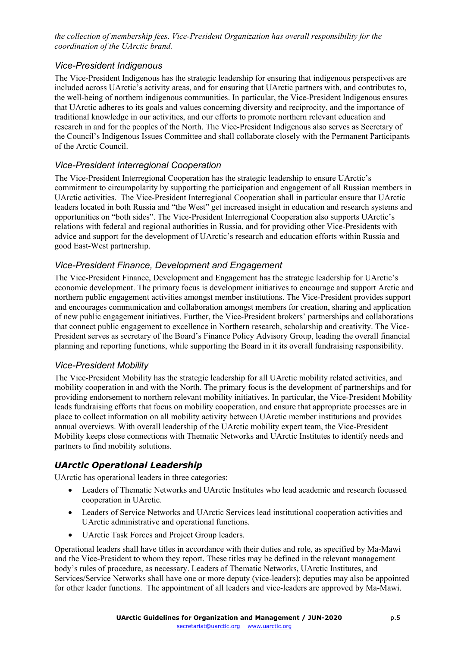*the collection of membership fees. Vice-President Organization has overall responsibility for the coordination of the UArctic brand.*

#### *Vice-President Indigenous*

The Vice-President Indigenous has the strategic leadership for ensuring that indigenous perspectives are included across UArctic's activity areas, and for ensuring that UArctic partners with, and contributes to, the well-being of northern indigenous communities. In particular, the Vice-President Indigenous ensures that UArctic adheres to its goals and values concerning diversity and reciprocity, and the importance of traditional knowledge in our activities, and our efforts to promote northern relevant education and research in and for the peoples of the North. The Vice-President Indigenous also serves as Secretary of the Council's Indigenous Issues Committee and shall collaborate closely with the Permanent Participants of the Arctic Council.

#### *Vice-President Interregional Cooperation*

The Vice-President Interregional Cooperation has the strategic leadership to ensure UArctic's commitment to circumpolarity by supporting the participation and engagement of all Russian members in UArctic activities. The Vice-President Interregional Cooperation shall in particular ensure that UArctic leaders located in both Russia and "the West" get increased insight in education and research systems and opportunities on "both sides". The Vice-President Interregional Cooperation also supports UArctic's relations with federal and regional authorities in Russia, and for providing other Vice-Presidents with advice and support for the development of UArctic's research and education efforts within Russia and good East-West partnership.

#### *Vice-President Finance, Development and Engagement*

The Vice-President Finance, Development and Engagement has the strategic leadership for UArctic's economic development. The primary focus is development initiatives to encourage and support Arctic and northern public engagement activities amongst member institutions. The Vice-President provides support and encourages communication and collaboration amongst members for creation, sharing and application of new public engagement initiatives. Further, the Vice-President brokers' partnerships and collaborations that connect public engagement to excellence in Northern research, scholarship and creativity. The Vice-President serves as secretary of the Board's Finance Policy Advisory Group, leading the overall financial planning and reporting functions, while supporting the Board in it its overall fundraising responsibility.

#### *Vice-President Mobility*

The Vice-President Mobility has the strategic leadership for all UArctic mobility related activities, and mobility cooperation in and with the North. The primary focus is the development of partnerships and for providing endorsement to northern relevant mobility initiatives. In particular, the Vice-President Mobility leads fundraising efforts that focus on mobility cooperation, and ensure that appropriate processes are in place to collect information on all mobility activity between UArctic member institutions and provides annual overviews. With overall leadership of the UArctic mobility expert team, the Vice-President Mobility keeps close connections with Thematic Networks and UArctic Institutes to identify needs and partners to find mobility solutions.

#### *UArctic Operational Leadership*

UArctic has operational leaders in three categories:

- Leaders of Thematic Networks and UArctic Institutes who lead academic and research focussed cooperation in UArctic.
- Leaders of Service Networks and UArctic Services lead institutional cooperation activities and UArctic administrative and operational functions.
- UArctic Task Forces and Project Group leaders.

Operational leaders shall have titles in accordance with their duties and role, as specified by Ma-Mawi and the Vice-President to whom they report. These titles may be defined in the relevant management body's rules of procedure, as necessary. Leaders of Thematic Networks, UArctic Institutes, and Services/Service Networks shall have one or more deputy (vice-leaders); deputies may also be appointed for other leader functions. The appointment of all leaders and vice-leaders are approved by Ma-Mawi.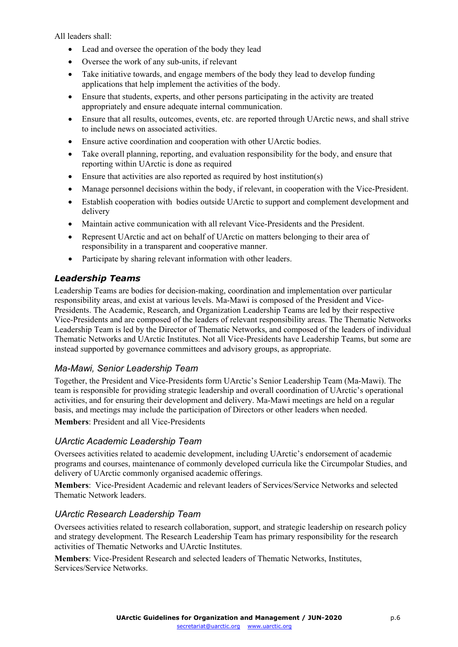All leaders shall:

- Lead and oversee the operation of the body they lead
- Oversee the work of any sub-units, if relevant
- Take initiative towards, and engage members of the body they lead to develop funding applications that help implement the activities of the body.
- Ensure that students, experts, and other persons participating in the activity are treated appropriately and ensure adequate internal communication.
- Ensure that all results, outcomes, events, etc. are reported through UArctic news, and shall strive to include news on associated activities.
- Ensure active coordination and cooperation with other UArctic bodies.
- Take overall planning, reporting, and evaluation responsibility for the body, and ensure that reporting within UArctic is done as required
- Ensure that activities are also reported as required by host institution(s)
- Manage personnel decisions within the body, if relevant, in cooperation with the Vice-President.
- Establish cooperation with bodies outside UArctic to support and complement development and delivery
- Maintain active communication with all relevant Vice-Presidents and the President.
- Represent UArctic and act on behalf of UArctic on matters belonging to their area of responsibility in a transparent and cooperative manner.
- Participate by sharing relevant information with other leaders.

#### *Leadership Teams*

Leadership Teams are bodies for decision-making, coordination and implementation over particular responsibility areas, and exist at various levels. Ma-Mawi is composed of the President and Vice-Presidents. The Academic, Research, and Organization Leadership Teams are led by their respective Vice-Presidents and are composed of the leaders of relevant responsibility areas. The Thematic Networks Leadership Team is led by the Director of Thematic Networks, and composed of the leaders of individual Thematic Networks and UArctic Institutes. Not all Vice-Presidents have Leadership Teams, but some are instead supported by governance committees and advisory groups, as appropriate.

#### *Ma-Mawi, Senior Leadership Team*

Together, the President and Vice-Presidents form UArctic's Senior Leadership Team (Ma-Mawi). The team is responsible for providing strategic leadership and overall coordination of UArctic's operational activities, and for ensuring their development and delivery. Ma-Mawi meetings are held on a regular basis, and meetings may include the participation of Directors or other leaders when needed.

**Members**: President and all Vice-Presidents

#### *UArctic Academic Leadership Team*

Oversees activities related to academic development, including UArctic's endorsement of academic programs and courses, maintenance of commonly developed curricula like the Circumpolar Studies, and delivery of UArctic commonly organised academic offerings.

**Members**: Vice-President Academic and relevant leaders of Services/Service Networks and selected Thematic Network leaders.

#### *UArctic Research Leadership Team*

Oversees activities related to research collaboration, support, and strategic leadership on research policy and strategy development. The Research Leadership Team has primary responsibility for the research activities of Thematic Networks and UArctic Institutes.

**Members**: Vice-President Research and selected leaders of Thematic Networks, Institutes, Services/Service Networks.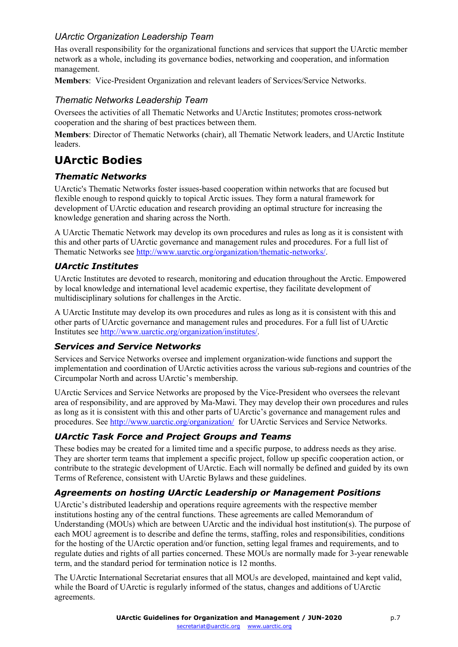#### *UArctic Organization Leadership Team*

Has overall responsibility for the organizational functions and services that support the UArctic member network as a whole, including its governance bodies, networking and cooperation, and information management.

**Members**: Vice-President Organization and relevant leaders of Services/Service Networks.

#### *Thematic Networks Leadership Team*

Oversees the activities of all Thematic Networks and UArctic Institutes; promotes cross-network cooperation and the sharing of best practices between them.

**Members**: Director of Thematic Networks (chair), all Thematic Network leaders, and UArctic Institute leaders.

### **UArctic Bodies**

#### *Thematic Networks*

UArctic's Thematic Networks foster issues-based cooperation within networks that are focused but flexible enough to respond quickly to topical Arctic issues. They form a natural framework for development of UArctic education and research providing an optimal structure for increasing the knowledge generation and sharing across the North.

A UArctic Thematic Network may develop its own procedures and rules as long as it is consistent with this and other parts of UArctic governance and management rules and procedures. For a full list of Thematic Networks see [http://www.uarctic.org/organization/thematic-networks/.](http://www.uarctic.org/organization/thematic-networks/)

#### *UArctic Institutes*

UArctic Institutes are devoted to research, monitoring and education throughout the Arctic. Empowered by local knowledge and international level academic expertise, they facilitate development of multidisciplinary solutions for challenges in the Arctic.

A UArctic Institute may develop its own procedures and rules as long as it is consistent with this and other parts of UArctic governance and management rules and procedures. For a full list of UArctic Institutes see [http://www.uarctic.org/organization/institutes/.](http://www.uarctic.org/organization/institutes/)

#### *Services and Service Networks*

Services and Service Networks oversee and implement organization-wide functions and support the implementation and coordination of UArctic activities across the various sub-regions and countries of the Circumpolar North and across UArctic's membership.

UArctic Services and Service Networks are proposed by the Vice-President who oversees the relevant area of responsibility, and are approved by Ma-Mawi. They may develop their own procedures and rules as long as it is consistent with this and other parts of UArctic's governance and management rules and procedures. See<http://www.uarctic.org/organization/> for UArctic Services and Service Networks.

#### *UArctic Task Force and Project Groups and Teams*

These bodies may be created for a limited time and a specific purpose, to address needs as they arise. They are shorter term teams that implement a specific project, follow up specific cooperation action, or contribute to the strategic development of UArctic. Each will normally be defined and guided by its own Terms of Reference, consistent with UArctic Bylaws and these guidelines.

#### *Agreements on hosting UArctic Leadership or Management Positions*

UArctic's distributed leadership and operations require agreements with the respective member institutions hosting any of the central functions. These agreements are called Memorandum of Understanding (MOUs) which are between UArctic and the individual host institution(s). The purpose of each MOU agreement is to describe and define the terms, staffing, roles and responsibilities, conditions for the hosting of the UArctic operation and/or function, setting legal frames and requirements, and to regulate duties and rights of all parties concerned. These MOUs are normally made for 3-year renewable term, and the standard period for termination notice is 12 months.

The UArctic International Secretariat ensures that all MOUs are developed, maintained and kept valid, while the Board of UArctic is regularly informed of the status, changes and additions of UArctic agreements.